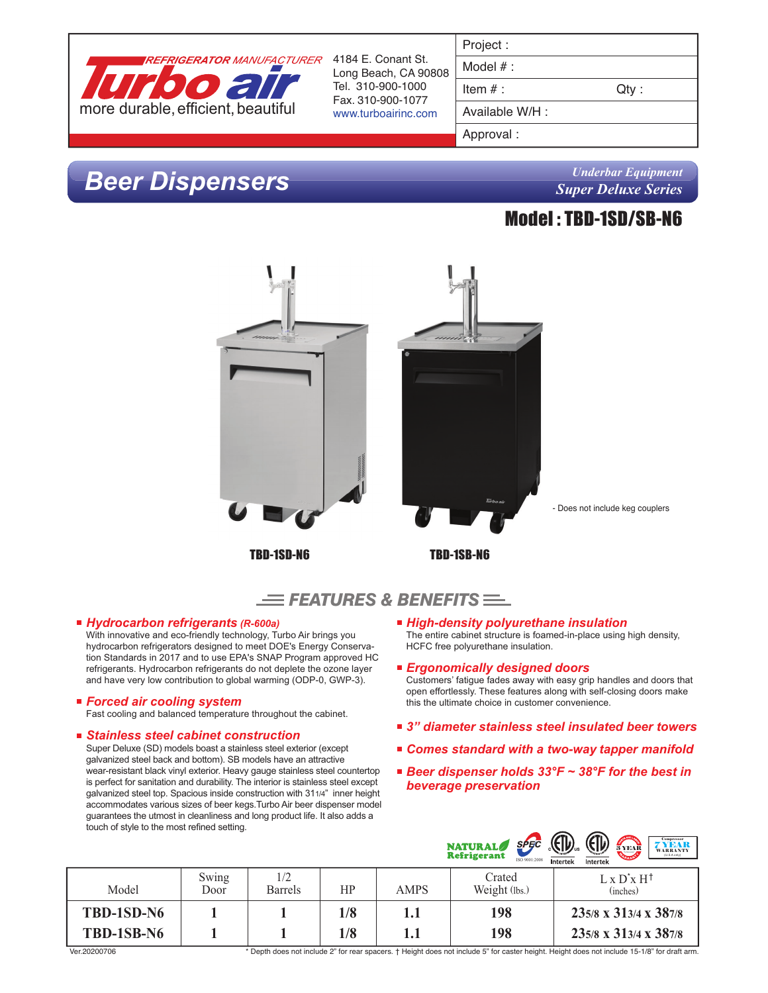

Long Beach, CA 90808 Tel. 310-900-1000 Fax. 310-900-1077 www.turboairinc.com

| Project |  |  |
|---------|--|--|
|         |  |  |

Model # :

Item  $#$  :  $Qty$  :

Available W/H :

Approval :

# *Beer Dispensers*

*Underbar Equipment Super Deluxe Series*

### Model : TBD-1SD/SB-N6





### *Hydrocarbon refrigerants (R-600a)*

With innovative and eco-friendly technology, Turbo Air brings you hydrocarbon refrigerators designed to meet DOE's Energy Conservation Standards in 2017 and to use EPA's SNAP Program approved HC refrigerants. Hydrocarbon refrigerants do not deplete the ozone layer and have very low contribution to global warming (ODP-0, GWP-3).

### *Forced air cooling system*

Fast cooling and balanced temperature throughout the cabinet.

### *Stainless steel cabinet construction*

Super Deluxe (SD) models boast a stainless steel exterior (except galvanized steel back and bottom). SB models have an attractive wear-resistant black vinyl exterior. Heavy gauge stainless steel countertop is perfect for sanitation and durability. The interior is stainless steel except galvanized steel top. Spacious inside construction with 311/4" inner height accommodates various sizes of beer kegs.Turbo Air beer dispenser model guarantees the utmost in cleanliness and long product life. It also adds a touch of style to the most refined setting.

*High-density polyurethane insulation*

The entire cabinet structure is foamed-in-place using high density, HCFC free polyurethane insulation.

- *Ergonomically designed doors* Customers' fatigue fades away with easy grip handles and doors that open effortlessly. These features along with self-closing doors make this the ultimate choice in customer convenience.
- *3" diameter stainless steel insulated beer towers*
- *Comes standard with a two-way tapper manifold*
- *Beer dispenser holds 33°F ~ 38°F for the best in beverage preservation*

|                          |               |                       |            |             | <b>SPEC</b><br><b>NATURAL</b><br><b>Refrigerant</b><br>ISO 9001:2008 | (Fili)<br>(EJL)<br><b>Compressor</b><br>3 YEAR<br>YEAT<br><b>WARRANTY</b><br>(U.S.A. only)<br>Intertek<br>Intertek |
|--------------------------|---------------|-----------------------|------------|-------------|----------------------------------------------------------------------|--------------------------------------------------------------------------------------------------------------------|
| Model                    | Swing<br>Door | 1/2<br><b>Barrels</b> | ΗP         | <b>AMPS</b> | Crated<br>Weight (lbs.)                                              | $L \times D^* \times H^{\dagger}$<br>(inches)                                                                      |
| TBD-1SD-N6<br>TBD-1SB-N6 |               |                       | 1/8<br>1/8 | 1.1<br>1.1  | 198<br>198                                                           | 235/8 x 313/4 x 387/8<br>235/8 x 313/4 x 387/8                                                                     |

\* Depth does not include 2" for rear spacers. † Height does not include 5" for caster height. Height does not include 15-1/8" for draft arm.